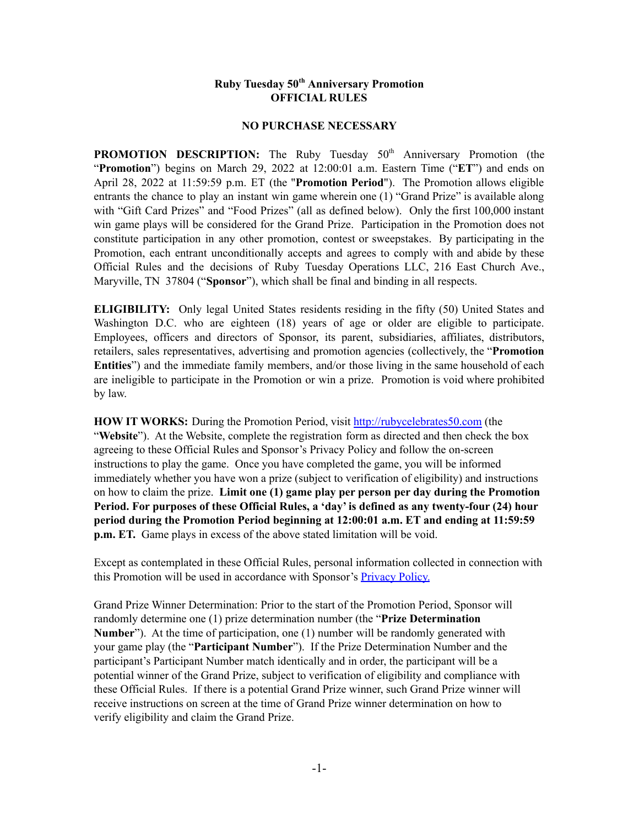## **Ruby Tuesday 50 th Anniversary Promotion OFFICIAL RULES**

## **NO PURCHASE NECESSARY**

**PROMOTION DESCRIPTION:** The Ruby Tuesday 50<sup>th</sup> Anniversary Promotion (the "**Promotion**") begins on March 29, 2022 at 12:00:01 a.m. Eastern Time ("**ET**") and ends on April 28, 2022 at 11:59:59 p.m. ET (the "**Promotion Period**"). The Promotion allows eligible entrants the chance to play an instant win game wherein one (1) "Grand Prize" is available along with "Gift Card Prizes" and "Food Prizes" (all as defined below). Only the first 100,000 instant win game plays will be considered for the Grand Prize. Participation in the Promotion does not constitute participation in any other promotion, contest or sweepstakes. By participating in the Promotion, each entrant unconditionally accepts and agrees to comply with and abide by these Official Rules and the decisions of Ruby Tuesday Operations LLC, 216 East Church Ave., Maryville, TN 37804 ("**Sponsor**"), which shall be final and binding in all respects.

**ELIGIBILITY:** Only legal United States residents residing in the fifty (50) United States and Washington D.C. who are eighteen (18) years of age or older are eligible to participate. Employees, officers and directors of Sponsor, its parent, subsidiaries, affiliates, distributors, retailers, sales representatives, advertising and promotion agencies (collectively, the "**Promotion Entities**") and the immediate family members, and/or those living in the same household of each are ineligible to participate in the Promotion or win a prize. Promotion is void where prohibited by law.

**HOW IT WORKS:** During the Promotion Period, visit [http://rubycelebrates50.com](http://rubycelebrates50.com/) (the "Website"). At the Website, complete the registration form as directed and then check the box agreeing to these Official Rules and Sponsor's Privacy Policy and follow the on-screen instructions to play the game. Once you have completed the game, you will be informed immediately whether you have won a prize (subject to verification of eligibility) and instructions on how to claim the prize. **Limit one (1) game play per person per day during the Promotion Period. For purposes of these Official Rules, a 'day' is defined as any twenty-four (24) hour period during the Promotion Period beginning at 12:00:01 a.m. ET and ending at 11:59:59 p.m. ET.** Game plays in excess of the above stated limitation will be void.

Except as contemplated in these Official Rules, personal information collected in connection with this Promotion will be used in accordance with Sponsor's [Privacy](https://rubytuesday.com/privacy/) Policy.

Grand Prize Winner Determination: Prior to the start of the Promotion Period, Sponsor will randomly determine one (1) prize determination number (the "**Prize Determination Number**"). At the time of participation, one (1) number will be randomly generated with your game play (the "**Participant Number**"). If the Prize Determination Number and the participant's Participant Number match identically and in order, the participant will be a potential winner of the Grand Prize, subject to verification of eligibility and compliance with these Official Rules. If there is a potential Grand Prize winner, such Grand Prize winner will receive instructions on screen at the time of Grand Prize winner determination on how to verify eligibility and claim the Grand Prize.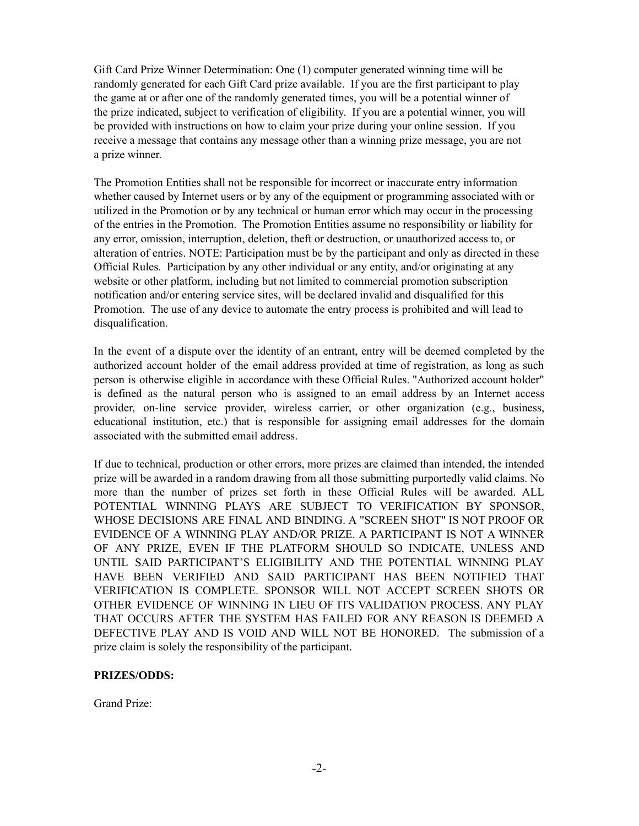Gift Card Prize Winner Determination: One (1) computer generated winning time will be randomly generated for each Gift Card prize available. If you are the first participant to play the game at or after one of the randomly generated times, you will be a potential winner of the prize indicated, subject to verification of eligibility. If you are a potential winner, you will be provided with instructions on how to claim your prize during your online session. If you receive a message that contains any message other than a winning prize message, you are not a prize winner.

The Promotion Entities shall not be responsible for incorrect or inaccurate entry information whether caused by Internet users or by any of the equipment or programming associated with or utilized in the Promotion or by any technical or human error which may occur in the processing of the entries in the Promotion. The Promotion Entities assume no responsibility or liability for any error, omission, interruption, deletion, theft or destruction, or unauthorized access to, or alteration of entries. NOTE: Participation must be by the participant and only as directed in these Official Rules. Participation by any other individual or any entity, and/or originating at any website or other platform, including but not limited to commercial promotion subscription notification and/or entering service sites, will be declared invalid and disqualified for this Promotion. The use of any device to automate the entry process is prohibited and will lead to disqualification.

In the event of a dispute over the identity of an entrant, entry will be deemed completed by the authorized account holder of the email address provided at time of registration, as long as such person is otherwise eligible in accordance with these Official Rules. "Authorized account holder" is defined as the natural person who is assigned to an email address by an Internet access provider, on-line service provider, wireless carrier, or other organization (e.g., business, educational institution, etc.) that is responsible for assigning email addresses for the domain associated with the submitted email address.

If due to technical, production or other errors, more prizes are claimed than intended, the intended prize will be awarded in a random drawing from all those submitting purportedly valid claims. No more than the number of prizes set forth in these Official Rules will be awarded. ALL POTENTIAL WINNING PLAYS ARE SUBJECT TO VERIFICATION BY SPONSOR, WHOSE DECISIONS ARE FINAL AND BINDING. A "SCREEN SHOT" IS NOT PROOF OR EVIDENCE OF A WINNING PLAY AND/OR PRIZE. A PARTICIPANT IS NOT A WINNER OF ANY PRIZE, EVEN IF THE PLATFORM SHOULD SO INDICATE, UNLESS AND UNTIL SAID PARTICIPANT'S ELIGIBILITY AND THE POTENTIAL WINNING PLAY HAVE BEEN VERIFIED AND SAID PARTICIPANT HAS BEEN NOTIFIED THAT VERIFICATION IS COMPLETE. SPONSOR WILL NOT ACCEPT SCREEN SHOTS OR OTHER EVIDENCE OF WINNING IN LIEU OF ITS VALIDATION PROCESS. ANY PLAY THAT OCCURS AFTER THE SYSTEM HAS FAILED FOR ANY REASON IS DEEMED A DEFECTIVE PLAY AND IS VOID AND WILL NOT BE HONORED. The submission of a prize claim is solely the responsibility of the participant.

## **PRIZES/ODDS:**

Grand Prize: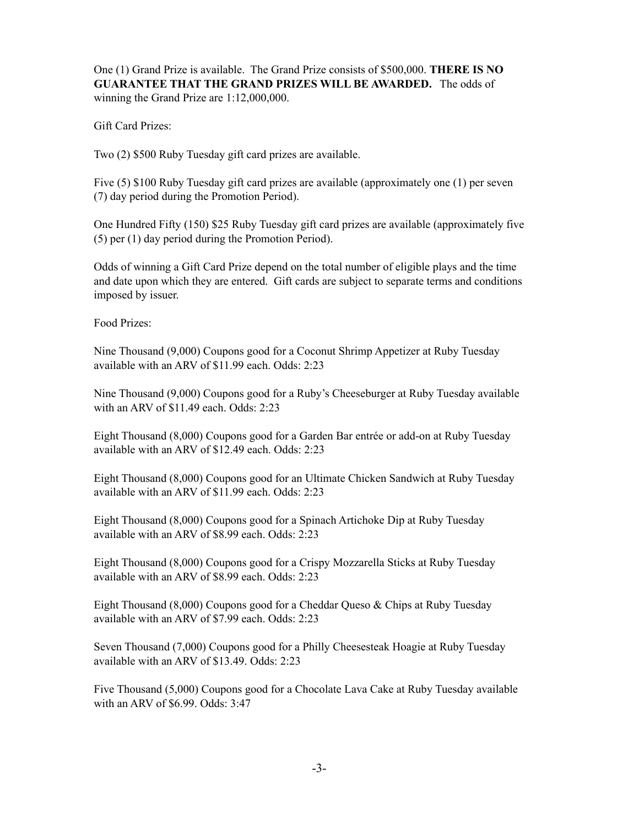One (1) Grand Prize is available. The Grand Prize consists of \$500,000. **THERE IS NO GUARANTEE THAT THE GRAND PRIZES WILL BE AWARDED.** The odds of winning the Grand Prize are 1:12,000,000.

Gift Card Prizes:

Two (2) \$500 Ruby Tuesday gift card prizes are available.

Five (5) \$100 Ruby Tuesday gift card prizes are available (approximately one (1) per seven (7) day period during the Promotion Period).

One Hundred Fifty (150) \$25 Ruby Tuesday gift card prizes are available (approximately five (5) per (1) day period during the Promotion Period).

Odds of winning a Gift Card Prize depend on the total number of eligible plays and the time and date upon which they are entered. Gift cards are subject to separate terms and conditions imposed by issuer.

Food Prizes:

Nine Thousand (9,000) Coupons good for a Coconut Shrimp Appetizer at Ruby Tuesday available with an ARV of \$11.99 each. Odds: 2:23

Nine Thousand (9,000) Coupons good for a Ruby's Cheeseburger at Ruby Tuesday available with an ARV of \$11.49 each. Odds: 2:23

Eight Thousand (8,000) Coupons good for a Garden Bar entrée or add-on at Ruby Tuesday available with an ARV of \$12.49 each. Odds: 2:23

Eight Thousand (8,000) Coupons good for an Ultimate Chicken Sandwich at Ruby Tuesday available with an ARV of \$11.99 each. Odds: 2:23

Eight Thousand (8,000) Coupons good for a Spinach Artichoke Dip at Ruby Tuesday available with an ARV of \$8.99 each. Odds: 2:23

Eight Thousand (8,000) Coupons good for a Crispy Mozzarella Sticks at Ruby Tuesday available with an ARV of \$8.99 each. Odds: 2:23

Eight Thousand (8,000) Coupons good for a Cheddar Queso & Chips at Ruby Tuesday available with an ARV of \$7.99 each. Odds: 2:23

Seven Thousand (7,000) Coupons good for a Philly Cheesesteak Hoagie at Ruby Tuesday available with an ARV of \$13.49. Odds: 2:23

Five Thousand (5,000) Coupons good for a Chocolate Lava Cake at Ruby Tuesday available with an ARV of \$6.99. Odds: 3:47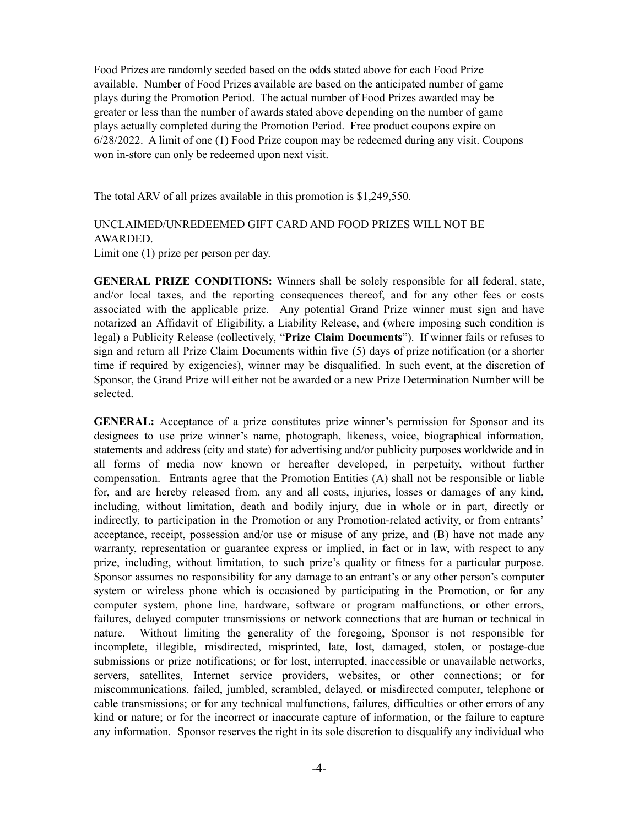Food Prizes are randomly seeded based on the odds stated above for each Food Prize available. Number of Food Prizes available are based on the anticipated number of game plays during the Promotion Period. The actual number of Food Prizes awarded may be greater or less than the number of awards stated above depending on the number of game plays actually completed during the Promotion Period. Free product coupons expire on 6/28/2022. A limit of one (1) Food Prize coupon may be redeemed during any visit. Coupons won in-store can only be redeemed upon next visit.

The total ARV of all prizes available in this promotion is \$1,249,550.

## UNCLAIMED/UNREDEEMED GIFT CARD AND FOOD PRIZES WILL NOT BE AWARDED.

Limit one (1) prize per person per day.

**GENERAL PRIZE CONDITIONS:** Winners shall be solely responsible for all federal, state, and/or local taxes, and the reporting consequences thereof, and for any other fees or costs associated with the applicable prize. Any potential Grand Prize winner must sign and have notarized an Affidavit of Eligibility, a Liability Release, and (where imposing such condition is legal) a Publicity Release (collectively, "**Prize Claim Documents**"). If winner fails or refuses to sign and return all Prize Claim Documents within five (5) days of prize notification (or a shorter time if required by exigencies), winner may be disqualified. In such event, at the discretion of Sponsor, the Grand Prize will either not be awarded or a new Prize Determination Number will be selected.

**GENERAL:** Acceptance of a prize constitutes prize winner's permission for Sponsor and its designees to use prize winner's name, photograph, likeness, voice, biographical information, statements and address (city and state) for advertising and/or publicity purposes worldwide and in all forms of media now known or hereafter developed, in perpetuity, without further compensation. Entrants agree that the Promotion Entities (A) shall not be responsible or liable for, and are hereby released from, any and all costs, injuries, losses or damages of any kind, including, without limitation, death and bodily injury, due in whole or in part, directly or indirectly, to participation in the Promotion or any Promotion-related activity, or from entrants' acceptance, receipt, possession and/or use or misuse of any prize, and (B) have not made any warranty, representation or guarantee express or implied, in fact or in law, with respect to any prize, including, without limitation, to such prize's quality or fitness for a particular purpose. Sponsor assumes no responsibility for any damage to an entrant's or any other person's computer system or wireless phone which is occasioned by participating in the Promotion, or for any computer system, phone line, hardware, software or program malfunctions, or other errors, failures, delayed computer transmissions or network connections that are human or technical in nature. Without limiting the generality of the foregoing, Sponsor is not responsible for incomplete, illegible, misdirected, misprinted, late, lost, damaged, stolen, or postage-due submissions or prize notifications; or for lost, interrupted, inaccessible or unavailable networks, servers, satellites, Internet service providers, websites, or other connections; or for miscommunications, failed, jumbled, scrambled, delayed, or misdirected computer, telephone or cable transmissions; or for any technical malfunctions, failures, difficulties or other errors of any kind or nature; or for the incorrect or inaccurate capture of information, or the failure to capture any information. Sponsor reserves the right in its sole discretion to disqualify any individual who